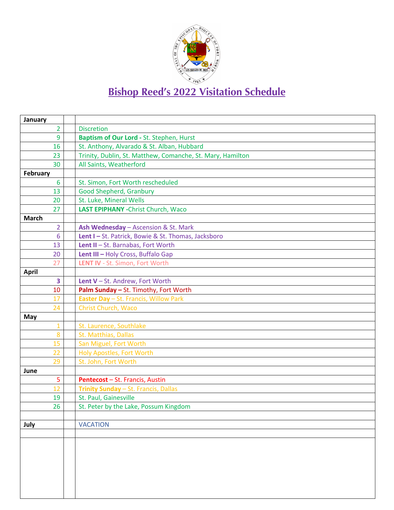

## **Bishop Reed's 2022 Visitation Schedule**

| January                                |                                                                                                                                  |
|----------------------------------------|----------------------------------------------------------------------------------------------------------------------------------|
| $\overline{2}$                         | <b>Discretion</b>                                                                                                                |
| 9                                      | Baptism of Our Lord - St. Stephen, Hurst                                                                                         |
| 16                                     | St. Anthony, Alvarado & St. Alban, Hubbard                                                                                       |
| 23                                     | Trinity, Dublin, St. Matthew, Comanche, St. Mary, Hamilton                                                                       |
| 30                                     | All Saints, Weatherford                                                                                                          |
| February                               |                                                                                                                                  |
| 6                                      | St. Simon, Fort Worth rescheduled                                                                                                |
| 13                                     | <b>Good Shepherd, Granbury</b>                                                                                                   |
| 20                                     | St. Luke, Mineral Wells                                                                                                          |
| 27                                     | LAST EPIPHANY - Christ Church, Waco                                                                                              |
| <b>March</b>                           |                                                                                                                                  |
| $\overline{2}$                         | Ash Wednesday - Ascension & St. Mark                                                                                             |
| 6                                      | Lent I-St. Patrick, Bowie & St. Thomas, Jacksboro                                                                                |
| 13                                     | Lent II - St. Barnabas, Fort Worth                                                                                               |
| 20                                     | Lent III - Holy Cross, Buffalo Gap                                                                                               |
| 27                                     | LENT IV - St. Simon, Fort Worth                                                                                                  |
| <b>April</b>                           |                                                                                                                                  |
| $\overline{\mathbf{3}}$                | Lent V-St. Andrew, Fort Worth                                                                                                    |
| 10                                     | Palm Sunday - St. Timothy, Fort Worth                                                                                            |
| 17                                     | <b>Easter Day</b> - St. Francis, Willow Park                                                                                     |
| 24                                     | Christ Church, Waco                                                                                                              |
| May                                    |                                                                                                                                  |
| $\mathbf{1}$                           | St. Laurence, Southlake                                                                                                          |
|                                        |                                                                                                                                  |
|                                        | San Miguel, Fort Worth                                                                                                           |
| 22                                     | Holy Apostles, Fort Worth                                                                                                        |
|                                        |                                                                                                                                  |
| June                                   |                                                                                                                                  |
|                                        | Pentecost - St. Francis, Austin                                                                                                  |
|                                        |                                                                                                                                  |
|                                        |                                                                                                                                  |
| 26                                     | St. Peter by the Lake, Possum Kingdom                                                                                            |
|                                        |                                                                                                                                  |
|                                        |                                                                                                                                  |
|                                        |                                                                                                                                  |
|                                        |                                                                                                                                  |
|                                        |                                                                                                                                  |
|                                        |                                                                                                                                  |
|                                        |                                                                                                                                  |
|                                        |                                                                                                                                  |
|                                        |                                                                                                                                  |
| 8<br>15<br>29<br>5<br>12<br>19<br>July | St. Matthias, Dallas<br>St. John, Fort Worth<br>Trinity Sunday - St. Francis, Dallas<br>St. Paul, Gainesville<br><b>VACATION</b> |